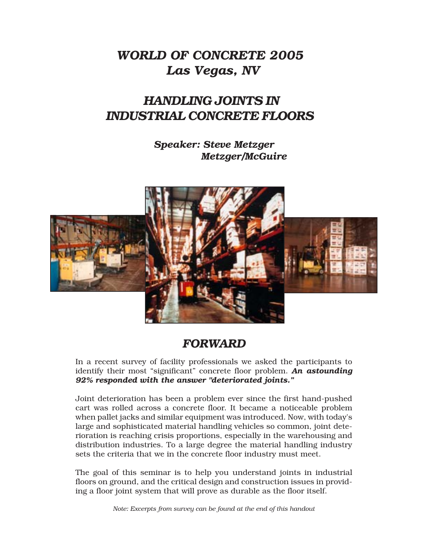### *WORLD OF CONCRETE 2005 Las Vegas, NV*

### *HANDLING JOINTS IN INDUSTRIAL CONCRETE FLOORS*

*Speaker: Steve Metzger Metzger/McGuire*



#### *FORWARD*

In a recent survey of facility professionals we asked the participants to identify their most "significant" concrete floor problem. *An astounding 92% responded with the answer "deteriorated joints."*

Joint deterioration has been a problem ever since the first hand-pushed cart was rolled across a concrete floor. It became a noticeable problem when pallet jacks and similar equipment was introduced. Now, with today's large and sophisticated material handling vehicles so common, joint deterioration is reaching crisis proportions, especially in the warehousing and distribution industries. To a large degree the material handling industry sets the criteria that we in the concrete floor industry must meet.

The goal of this seminar is to help you understand joints in industrial floors on ground, and the critical design and construction issues in providing a floor joint system that will prove as durable as the floor itself.

*Note: Excerpts from survey can be found at the end of this handout*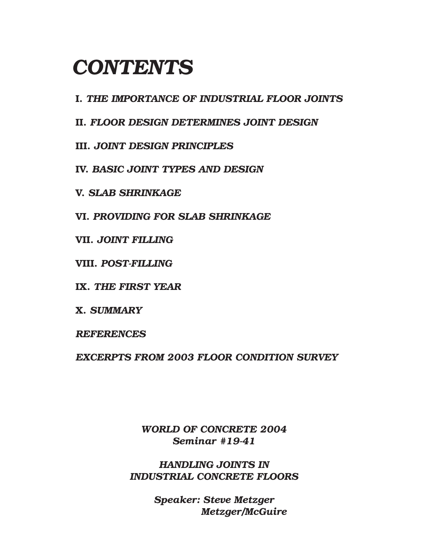# *CONTENTS*

**I.** *THE IMPORTANCE OF INDUSTRIAL FLOOR JOINTS*

**II.** *FLOOR DESIGN DETERMINES JOINT DESIGN*

**III.** *JOINT DESIGN PRINCIPLES*

**IV.** *BASIC JOINT TYPES AND DESIGN*

**V.** *SLAB SHRINKAGE*

**VI.** *PROVIDING FOR SLAB SHRINKAGE*

**VII.** *JOINT FILLING*

**VIII.** *POST-FILLING*

**IX.** *THE FIRST YEAR*

**X.** *SUMMARY*

*REFERENCES*

*EXCERPTS FROM 2003 FLOOR CONDITION SURVEY*

*WORLD OF CONCRETE 2004 Seminar #19-41*

*HANDLING JOINTS IN INDUSTRIAL CONCRETE FLOORS*

> *Speaker: Steve Metzger Metzger/McGuire*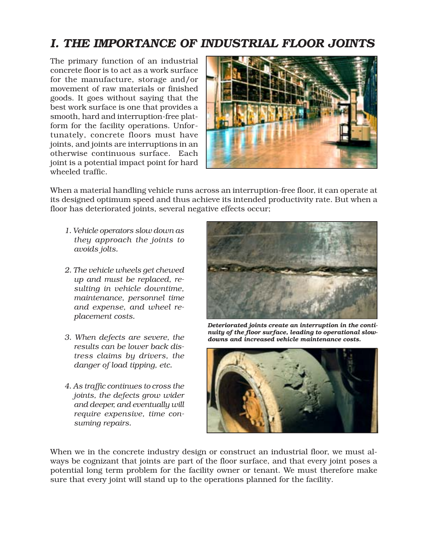### *I. THE IMPORTANCE OF INDUSTRIAL FLOOR JOINTS*

The primary function of an industrial concrete floor is to act as a work surface for the manufacture, storage and/or movement of raw materials or finished goods. It goes without saying that the best work surface is one that provides a smooth, hard and interruption-free platform for the facility operations. Unfortunately, concrete floors must have joints, and joints are interruptions in an otherwise continuous surface. Each joint is a potential impact point for hard wheeled traffic.



When a material handling vehicle runs across an interruption-free floor, it can operate at its designed optimum speed and thus achieve its intended productivity rate. But when a floor has deteriorated joints, several negative effects occur;

- *1. Vehicle operators slow down as they approach the joints to avoids jolts.*
- *2. The vehicle wheels get chewed up and must be replaced, resulting in vehicle downtime, maintenance, personnel time and expense, and wheel replacement costs.*
- *3. When defects are severe, the results can be lower back distress claims by drivers, the danger of load tipping, etc.*
- *4. As traffic continues to cross the joints, the defects grow wider and deeper, and eventually will require expensive, time consuming repairs.*



*Deteriorated joints create an interruption in the continuity of the floor surface, leading to operational slowdowns and increased vehicle maintenance costs.*



When we in the concrete industry design or construct an industrial floor, we must always be cognizant that joints are part of the floor surface, and that every joint poses a potential long term problem for the facility owner or tenant. We must therefore make sure that every joint will stand up to the operations planned for the facility.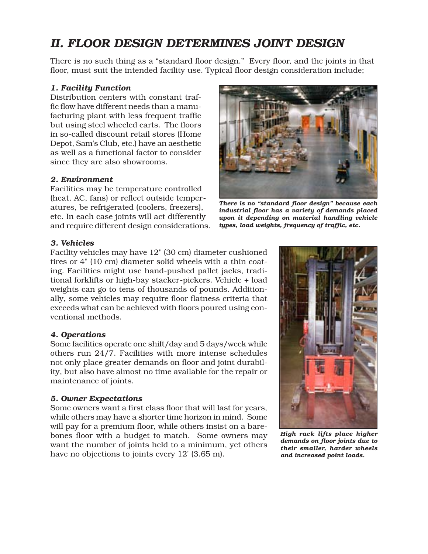### *II. FLOOR DESIGN DETERMINES JOINT DESIGN*

There is no such thing as a "standard floor design." Every floor, and the joints in that floor, must suit the intended facility use. Typical floor design consideration include;

#### *1. Facility Function*

Distribution centers with constant traffic flow have different needs than a manufacturing plant with less frequent traffic but using steel wheeled carts. The floors in so-called discount retail stores (Home Depot, Sam's Club, etc.) have an aesthetic as well as a functional factor to consider since they are also showrooms.

#### *2. Environment*

Facilities may be temperature controlled (heat, AC, fans) or reflect outside temperatures, be refrigerated (coolers, freezers), etc. In each case joints will act differently and require different design considerations.



*There is no "standard floor design" because each industrial floor has a variety of demands placed upon it depending on material handling vehicle types, load weights, frequency of traffic, etc.*

#### *3. Vehicles*

Facility vehicles may have 12" (30 cm) diameter cushioned tires or 4" (10 cm) diameter solid wheels with a thin coating. Facilities might use hand-pushed pallet jacks, traditional forklifts or high-bay stacker-pickers. Vehicle + load weights can go to tens of thousands of pounds. Additionally, some vehicles may require floor flatness criteria that exceeds what can be achieved with floors poured using conventional methods.

#### *4. Operations*

Some facilities operate one shift/day and 5 days/week while others run 24/7. Facilities with more intense schedules not only place greater demands on floor and joint durability, but also have almost no time available for the repair or maintenance of joints.

#### *5. Owner Expectations*

Some owners want a first class floor that will last for years, while others may have a shorter time horizon in mind. Some will pay for a premium floor, while others insist on a barebones floor with a budget to match. Some owners may want the number of joints held to a minimum, yet others have no objections to joints every 12' (3.65 m).



*High rack lifts place higher demands on floor joints due to their smaller, harder wheels and increased point loads.*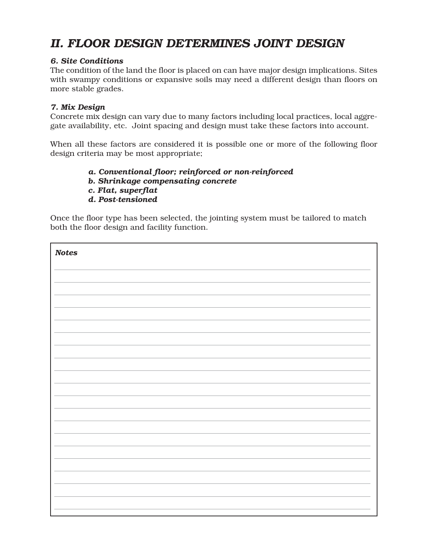### *II. FLOOR DESIGN DETERMINES JOINT DESIGN*

#### *6. Site Conditions*

The condition of the land the floor is placed on can have major design implications. Sites with swampy conditions or expansive soils may need a different design than floors on more stable grades.

#### *7. Mix Design*

Concrete mix design can vary due to many factors including local practices, local aggregate availability, etc. Joint spacing and design must take these factors into account.

When all these factors are considered it is possible one or more of the following floor design criteria may be most appropriate;

#### *a. Conventional floor; reinforced or non-reinforced*

- *b. Shrinkage compensating concrete*
- *c. Flat, superflat*
- *d. Post-tensioned*

Once the floor type has been selected, the jointing system must be tailored to match both the floor design and facility function.

| <b>Notes</b> |
|--------------|
|              |
|              |
|              |
|              |
|              |
|              |
|              |
|              |
|              |
|              |
|              |
|              |
|              |
|              |
|              |
|              |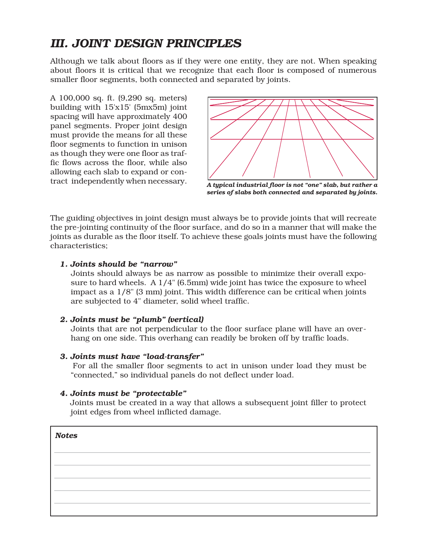### *III. JOINT DESIGN PRINCIPLES*

Although we talk about floors as if they were one entity, they are not. When speaking about floors it is critical that we recognize that each floor is composed of numerous smaller floor segments, both connected and separated by joints.

A 100,000 sq. ft. (9,290 sq. meters) building with 15'x15' (5mx5m) joint spacing will have approximately 400 panel segments. Proper joint design must provide the means for all these floor segments to function in unison as though they were one floor as traffic flows across the floor, while also allowing each slab to expand or contract independently when necessary.



*A typical industrial floor is not "one" slab, but rather a series of slabs both connected and separated by joints.*

The guiding objectives in joint design must always be to provide joints that will recreate the pre-jointing continuity of the floor surface, and do so in a manner that will make the joints as durable as the floor itself. To achieve these goals joints must have the following characteristics;

#### *1. Joints should be "narrow"*

Joints should always be as narrow as possible to minimize their overall exposure to hard wheels. A 1/4" (6.5mm) wide joint has twice the exposure to wheel impact as a 1/8" (3 mm) joint. This width difference can be critical when joints are subjected to 4" diameter, solid wheel traffic.

#### *2. Joints must be "plumb" (vertical)*

Joints that are not perpendicular to the floor surface plane will have an overhang on one side. This overhang can readily be broken off by traffic loads.

#### *3. Joints must have "load-transfer"*

For all the smaller floor segments to act in unison under load they must be "connected," so individual panels do not deflect under load.

#### *4. Joints must be "protectable"*

Joints must be created in a way that allows a subsequent joint filler to protect joint edges from wheel inflicted damage.

| <b>Notes</b> |  |
|--------------|--|
|              |  |
|              |  |
|              |  |
|              |  |
|              |  |
|              |  |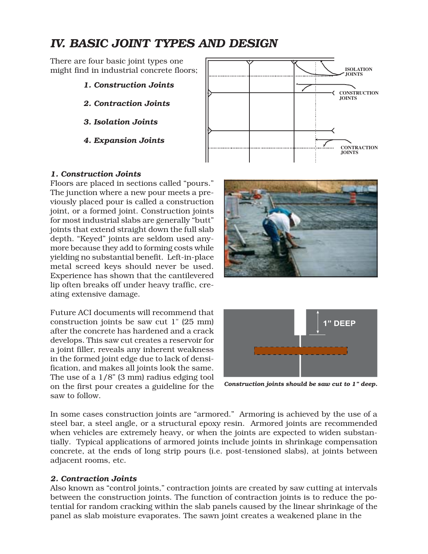### *IV. BASIC JOINT TYPES AND DESIGN*

There are four basic joint types one might find in industrial concrete floors;

- *1. Construction Joints*
- *2. Contraction Joints*
- *3. Isolation Joints*
- *4. Expansion Joints*



#### *1. Construction Joints*

Floors are placed in sections called "pours." The junction where a new pour meets a previously placed pour is called a construction joint, or a formed joint. Construction joints for most industrial slabs are generally "butt" joints that extend straight down the full slab depth. "Keyed" joints are seldom used anymore because they add to forming costs while yielding no substantial benefit. Left-in-place metal screed keys should never be used. Experience has shown that the cantilevered lip often breaks off under heavy traffic, creating extensive damage.

Future ACI documents will recommend that construction joints be saw cut 1" (25 mm) after the concrete has hardened and a crack develops. This saw cut creates a reservoir for a joint filler, reveals any inherent weakness in the formed joint edge due to lack of densification, and makes all joints look the same. The use of a 1/8" (3 mm) radius edging tool on the first pour creates a guideline for the saw to follow.





*Construction joints should be saw cut to 1" deep.*

In some cases construction joints are "armored." Armoring is achieved by the use of a steel bar, a steel angle, or a structural epoxy resin. Armored joints are recommended when vehicles are extremely heavy, or when the joints are expected to widen substantially. Typical applications of armored joints include joints in shrinkage compensation concrete, at the ends of long strip pours (i.e. post-tensioned slabs), at joints between adjacent rooms, etc.

#### *2. Contraction Joints*

Also known as "control joints," contraction joints are created by saw cutting at intervals between the construction joints. The function of contraction joints is to reduce the potential for random cracking within the slab panels caused by the linear shrinkage of the panel as slab moisture evaporates. The sawn joint creates a weakened plane in the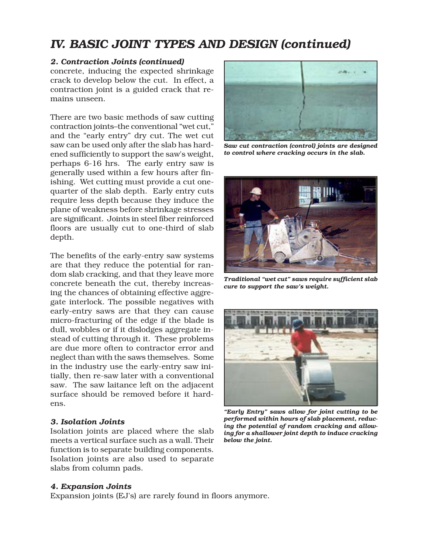### *IV. BASIC JOINT TYPES AND DESIGN (continued)*

#### *2. Contraction Joints (continued)*

concrete, inducing the expected shrinkage crack to develop below the cut. In effect, a contraction joint is a guided crack that remains unseen.

There are two basic methods of saw cutting contraction joints–the conventional "wet cut," and the "early entry" dry cut. The wet cut saw can be used only after the slab has hardened sufficiently to support the saw's weight, perhaps 6-16 hrs. The early entry saw is generally used within a few hours after finishing. Wet cutting must provide a cut onequarter of the slab depth. Early entry cuts require less depth because they induce the plane of weakness before shrinkage stresses are significant. Joints in steel fiber reinforced floors are usually cut to one-third of slab depth.

The benefits of the early-entry saw systems are that they reduce the potential for random slab cracking, and that they leave more concrete beneath the cut, thereby increasing the chances of obtaining effective aggregate interlock. The possible negatives with early-entry saws are that they can cause micro-fracturing of the edge if the blade is dull, wobbles or if it dislodges aggregate instead of cutting through it. These problems are due more often to contractor error and neglect than with the saws themselves. Some in the industry use the early-entry saw initially, then re-saw later with a conventional saw. The saw laitance left on the adjacent surface should be removed before it hardens.

#### *3. Isolation Joints*

Isolation joints are placed where the slab meets a vertical surface such as a wall. Their function is to separate building components. Isolation joints are also used to separate slabs from column pads.



*Saw cut contraction (control) joints are designed to control where cracking occurs in the slab.*



*Traditional "wet cut" saws require sufficient slab cure to support the saw's weight.*



*"Early Entry" saws allow for joint cutting to be performed within hours of slab placement, reducing the potential of random cracking and allowing for a shallower joint depth to induce cracking below the joint.*

#### *4. Expansion Joints*

Expansion joints (EJ's) are rarely found in floors anymore.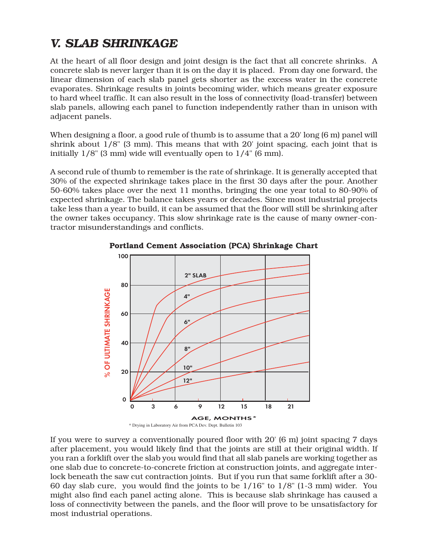# *V. SLAB SHRINKAGE*

At the heart of all floor design and joint design is the fact that all concrete shrinks. A concrete slab is never larger than it is on the day it is placed. From day one forward, the linear dimension of each slab panel gets shorter as the excess water in the concrete evaporates. Shrinkage results in joints becoming wider, which means greater exposure to hard wheel traffic. It can also result in the loss of connectivity (load-transfer) between slab panels, allowing each panel to function independently rather than in unison with adjacent panels.

When designing a floor, a good rule of thumb is to assume that a 20' long (6 m) panel will shrink about 1/8" (3 mm). This means that with 20' joint spacing, each joint that is initially 1/8" (3 mm) wide will eventually open to 1/4" (6 mm).

A second rule of thumb to remember is the rate of shrinkage. It is generally accepted that 30% of the expected shrinkage takes place in the first 30 days after the pour. Another 50-60% takes place over the next 11 months, bringing the one year total to 80-90% of expected shrinkage. The balance takes years or decades. Since most industrial projects take less than a year to build, it can be assumed that the floor will still be shrinking after the owner takes occupancy. This slow shrinkage rate is the cause of many owner-contractor misunderstandings and conflicts.



**Portland Cement Association (PCA) Shrinkage Chart**

If you were to survey a conventionally poured floor with 20' (6 m) joint spacing 7 days after placement, you would likely find that the joints are still at their original width. If you ran a forklift over the slab you would find that all slab panels are working together as one slab due to concrete-to-concrete friction at construction joints, and aggregate interlock beneath the saw cut contraction joints. But if you run that same forklift after a 30- 60 day slab cure, you would find the joints to be 1/16" to 1/8" (1-3 mm) wider. You might also find each panel acting alone. This is because slab shrinkage has caused a loss of connectivity between the panels, and the floor will prove to be unsatisfactory for most industrial operations.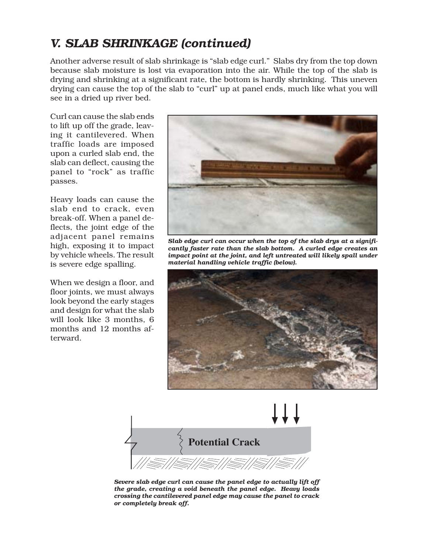### *V. SLAB SHRINKAGE (continued)*

Another adverse result of slab shrinkage is "slab edge curl." Slabs dry from the top down because slab moisture is lost via evaporation into the air. While the top of the slab is drying and shrinking at a significant rate, the bottom is hardly shrinking. This uneven drying can cause the top of the slab to "curl" up at panel ends, much like what you will see in a dried up river bed.

Curl can cause the slab ends to lift up off the grade, leaving it cantilevered. When traffic loads are imposed upon a curled slab end, the slab can deflect, causing the panel to "rock" as traffic passes.

Heavy loads can cause the slab end to crack, even break-off. When a panel deflects, the joint edge of the adjacent panel remains high, exposing it to impact by vehicle wheels. The result is severe edge spalling.

When we design a floor, and floor joints, we must always look beyond the early stages and design for what the slab will look like 3 months, 6 months and 12 months afterward.



*Slab edge curl can occur when the top of the slab drys at a significantly faster rate than the slab bottom. A curled edge creates an impact point at the joint, and left untreated will likely spall under material handling vehicle traffic (below).*





*Severe slab edge curl can cause the panel edge to actually lift off the grade, creating a void beneath the panel edge. Heavy loads crossing the cantilevered panel edge may cause the panel to crack or completely break off.*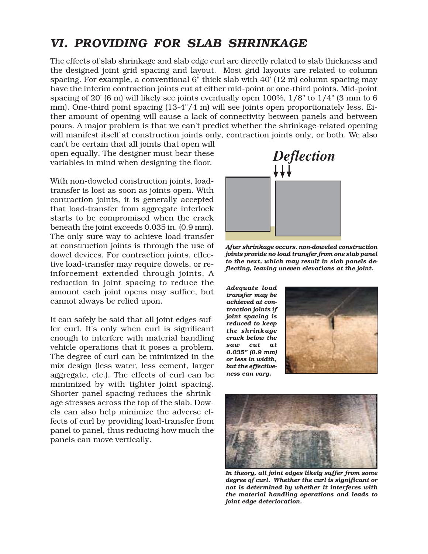### *VI. PROVIDING FOR SLAB SHRINKAGE*

The effects of slab shrinkage and slab edge curl are directly related to slab thickness and the designed joint grid spacing and layout. Most grid layouts are related to column spacing. For example, a conventional 6" thick slab with 40' (12 m) column spacing may have the interim contraction joints cut at either mid-point or one-third points. Mid-point spacing of 20' (6 m) will likely see joints eventually open 100%, 1/8" to 1/4" (3 mm to 6 mm). One-third point spacing (13-4"/4 m) will see joints open proportionately less. Either amount of opening will cause a lack of connectivity between panels and between pours. A major problem is that we can't predict whether the shrinkage-related opening will manifest itself at construction joints only, contraction joints only, or both. We also

can't be certain that all joints that open will open equally. The designer must bear these variables in mind when designing the floor.

With non-doweled construction joints, loadtransfer is lost as soon as joints open. With contraction joints, it is generally accepted that load-transfer from aggregate interlock starts to be compromised when the crack beneath the joint exceeds 0.035 in. (0.9 mm). The only sure way to achieve load-transfer at construction joints is through the use of dowel devices. For contraction joints, effective load-transfer may require dowels, or reinforcement extended through joints. A reduction in joint spacing to reduce the amount each joint opens may suffice, but cannot always be relied upon.

It can safely be said that all joint edges suffer curl. It's only when curl is significant enough to interfere with material handling vehicle operations that it poses a problem. The degree of curl can be minimized in the mix design (less water, less cement, larger aggregate, etc.). The effects of curl can be minimized by with tighter joint spacing. Shorter panel spacing reduces the shrinkage stresses across the top of the slab. Dowels can also help minimize the adverse effects of curl by providing load-transfer from panel to panel, thus reducing how much the panels can move vertically.



*After shrinkage occurs, non-doweled construction joints provide no load transfer from one slab panel to the next, which may result in slab panels deflecting, leaving uneven elevations at the joint.*

*Adequate load transfer may be achieved at contraction joints if joint spacing is reduced to keep the shrinkage crack below the saw cut at 0.035" (0.9 mm) or less in width, but the effectiveness can vary.*





*In theory, all joint edges likely suffer from some degree of curl. Whether the curl is significant or not is determined by whether it interferes with the material handling operations and leads to joint edge deterioration.*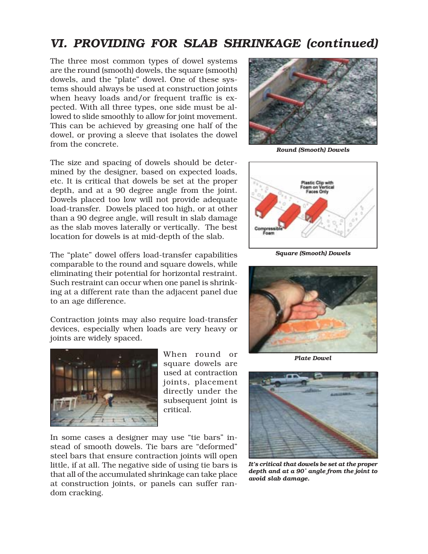### *VI. PROVIDING FOR SLAB SHRINKAGE (continued)*

The three most common types of dowel systems are the round (smooth) dowels, the square (smooth) dowels, and the "plate" dowel. One of these systems should always be used at construction joints when heavy loads and/or frequent traffic is expected. With all three types, one side must be allowed to slide smoothly to allow for joint movement. This can be achieved by greasing one half of the dowel, or proving a sleeve that isolates the dowel from the concrete.

The size and spacing of dowels should be determined by the designer, based on expected loads, etc. It is critical that dowels be set at the proper depth, and at a 90 degree angle from the joint. Dowels placed too low will not provide adequate load-transfer. Dowels placed too high, or at other than a 90 degree angle, will result in slab damage as the slab moves laterally or vertically. The best location for dowels is at mid-depth of the slab.

The "plate" dowel offers load-transfer capabilities comparable to the round and square dowels, while eliminating their potential for horizontal restraint. Such restraint can occur when one panel is shrinking at a different rate than the adjacent panel due to an age difference.

Contraction joints may also require load-transfer devices, especially when loads are very heavy or joints are widely spaced.



When round or square dowels are used at contraction joints, placement directly under the subsequent joint is critical.

In some cases a designer may use "tie bars" instead of smooth dowels. Tie bars are "deformed" steel bars that ensure contraction joints will open little, if at all. The negative side of using tie bars is that all of the accumulated shrinkage can take place at construction joints, or panels can suffer random cracking.



*Round (Smooth) Dowels*



*Square (Smooth) Dowels*



*Plate Dowel*



*It's critical that dowels be set at the proper depth and at a 90˚ angle from the joint to avoid slab damage.*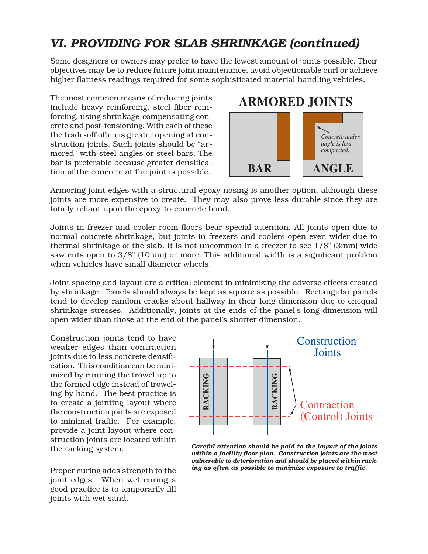# *VI. PROVIDING FOR SLAB SHRINKAGE (continued)*

Some designers or owners may prefer to have the fewest amount of joints possible. Their objectives may be to reduce future joint maintenance, avoid objectionable curl or achieve higher flatness readings required for some sophisticated material handling vehicles.

The most common means of reducing joints include heavy reinforcing, steel fiber reinforcing, using shrinkage-compensating concrete and post-tensioning. With each of these the trade-off often is greater opening at construction joints. Such joints should be "armored" with steel angles or steel bars. The bar is preferable because greater densification of the concrete at the joint is possible.



Armoring joint edges with a structural epoxy nosing is another option, although these joints are more expensive to create. They may also prove less durable since they are totally reliant upon the epoxy-to-concrete bond.

Joints in freezer and cooler room floors bear special attention. All joints open due to normal concrete shrinkage, but joints in freezers and coolers open even wider due to thermal shrinkage of the slab. It is not uncommon in a freezer to see 1/8" (3mm) wide saw cuts open to 3/8" (10mm) or more. This additional width is a significant problem when vehicles have small diameter wheels.

Joint spacing and layout are a critical element in minimizing the adverse effects created by shrinkage. Panels should always be kept as square as possible. Rectangular panels tend to develop random cracks about halfway in their long dimension due to enequal shrinkage stresses. Additionally, joints at the ends of the panel's long dimension will open wider than those at the end of the panel's shorter dimension.

Construction joints tend to have weaker edges than contraction joints due to less concrete densification. This condition can be minimized by running the trowel up to the formed edge instead of troweling by hand. The best practice is to create a jointing layout where the construction joints are exposed to minimal traffic. For example, provide a joint layout where construction joints are located within the racking system.

Proper curing adds strength to the joint edges. When wet curing a good practice is to temporarily fill joints with wet sand.



*Careful attention should be paid to the layout of the joints within a facility floor plan. Construction joints are the most vulnerable to deterioration and should be placed within racking as often as possible to minimize exposure to traffic.*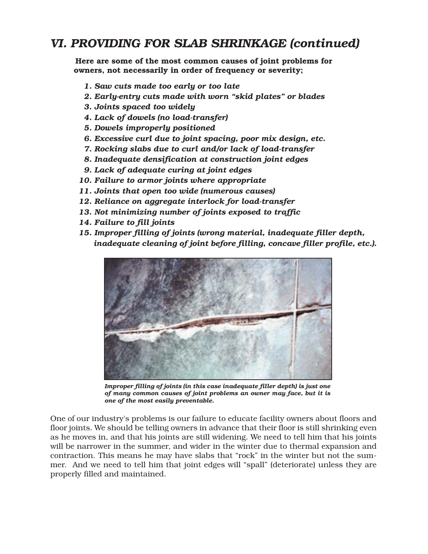### *VI. PROVIDING FOR SLAB SHRINKAGE (continued)*

 **Here are some of the most common causes of joint problems for owners, not necessarily in order of frequency or severity;**

- *1. Saw cuts made too early or too late*
- *2. Early-entry cuts made with worn "skid plates" or blades*
- *3. Joints spaced too widely*
- *4. Lack of dowels (no load-transfer)*
- *5. Dowels improperly positioned*
- *6. Excessive curl due to joint spacing, poor mix design, etc.*
- *7. Rocking slabs due to curl and/or lack of load-transfer*
- *8. Inadequate densification at construction joint edges*
- *9. Lack of adequate curing at joint edges*
- *10. Failure to armor joints where appropriate*
- *11. Joints that open too wide (numerous causes)*
- *12. Reliance on aggregate interlock for load-transfer*
- *13. Not minimizing number of joints exposed to traffic*
- *14. Failure to fill joints*
- *15. Improper filling of joints (wrong material, inadequate filler depth, inadequate cleaning of joint before filling, concave filler profile, etc.).*



*Improper filling of joints (in this case inadequate filler depth) is just one of many common causes of joint problems an owner may face, but it is one of the most easily preventable.*

One of our industry's problems is our failure to educate facility owners about floors and floor joints. We should be telling owners in advance that their floor is still shrinking even as he moves in, and that his joints are still widening. We need to tell him that his joints will be narrower in the summer, and wider in the winter due to thermal expansion and contraction. This means he may have slabs that "rock" in the winter but not the summer. And we need to tell him that joint edges will "spall" (deteriorate) unless they are properly filled and maintained.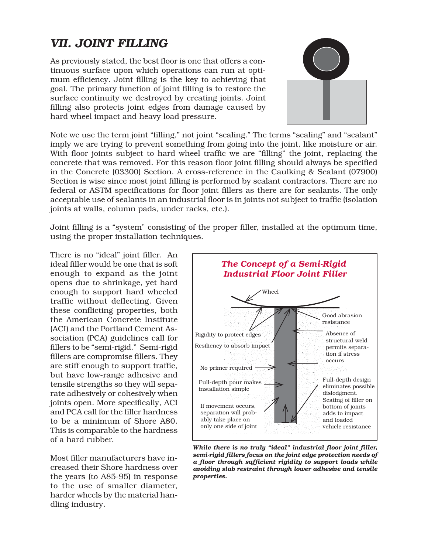# *VII. JOINT FILLING*

As previously stated, the best floor is one that offers a continuous surface upon which operations can run at optimum efficiency. Joint filling is the key to achieving that goal. The primary function of joint filling is to restore the surface continuity we destroyed by creating joints. Joint filling also protects joint edges from damage caused by hard wheel impact and heavy load pressure.



Note we use the term joint "filling," not joint "sealing." The terms "sealing" and "sealant" imply we are trying to prevent something from going into the joint, like moisture or air. With floor joints subject to hard wheel traffic we are "filling" the joint, replacing the concrete that was removed. For this reason floor joint filling should always be specified in the Concrete (03300) Section. A cross-reference in the Caulking & Sealant (07900) Section is wise since most joint filling is performed by sealant contractors. There are no federal or ASTM specifications for floor joint fillers as there are for sealants. The only acceptable use of sealants in an industrial floor is in joints not subject to traffic (isolation joints at walls, column pads, under racks, etc.).

Joint filling is a "system" consisting of the proper filler, installed at the optimum time, using the proper installation techniques.

There is no "ideal" joint filler. An ideal filler would be one that is soft enough to expand as the joint opens due to shrinkage, yet hard enough to support hard wheeled traffic without deflecting. Given these conflicting properties, both the American Concrete Institute (ACI) and the Portland Cement Association (PCA) guidelines call for fillers to be "semi-rigid." Semi-rigid fillers are compromise fillers. They are stiff enough to support traffic, but have low-range adhesive and tensile strengths so they will separate adhesively or cohesively when joints open. More specifically, ACI and PCA call for the filler hardness to be a minimum of Shore A80. This is comparable to the hardness of a hard rubber.

Most filler manufacturers have increased their Shore hardness over the years (to A85-95) in response to the use of smaller diameter, harder wheels by the material handling industry.



*While there is no truly "ideal" industrial floor joint filler, semi-rigid fillers focus on the joint edge protection needs of a floor through sufficient rigidity to support loads while avoiding slab restraint through lower adhesive and tensile properties.*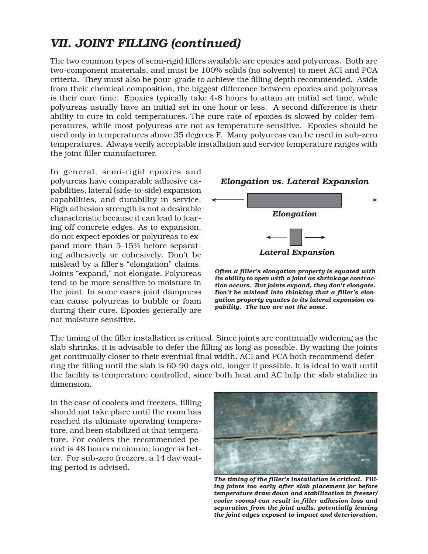The two common types of semi-rigid fillers available are epoxies and polyureas. Both are two-component materials, and must be 100% solids (no solvents) to meet ACI and PCA criteria. They must also be pour-grade to achieve the filling depth recommended. Aside from their chemical composition, the biggest difference between epoxies and polyureas is their cure time. Epoxies typically take 4-8 hours to attain an initial set time, while polyureas usually have an initial set in one hour or less. A second difference is their ability to cure in cold temperatures. The cure rate of epoxies is slowed by colder temperatures, while most polyureas are not as temperature-sensitive. Epoxies should be used only in temperatures above 35 degrees F. Many polyureas can be used in sub-zero temperatures. Always verify acceptable installation and service temperature ranges with the joint filler manufacturer.

In general, semi-rigid epoxies and polyureas have comparable adhesive capabilities, lateral (side-to-side) expansion capabilities, and durability in service. High adhesion strength is not a desirable characteristic because it can lead to tearing off concrete edges. As to expansion, do not expect epoxies or polyureas to expand more than 5-15% before separating adhesively or cohesively. Don't be mislead by a filler's "elongation" claims. Joints "expand," not elongate. Polyureas tend to be more sensitive to moisture in the joint. In some cases joint dampness can cause polyureas to bubble or foam during their cure. Epoxies generally are not moisture sensitive.



*Often a filler's elongation property is equated with its ability to open with a joint as shrinkage contraction occurs. But joints expand, they don't elongate. Don't be mislead into thinking that a filler's elongation property equates to its lateral exponsion capability. The two are not the same.*

The timing of the filler installation is critical. Since joints are continually widening as the slab shrinks, it is advisable to defer the filling as long as possible. By waiting the joints get continually closer to their eventual final width. ACI and PCA both recommend deferring the filling until the slab is 60-90 days old, longer if possible. It is ideal to wait until the facility is temperature controlled, since both heat and AC help the slab stabilize in dimension.

In the case of coolers and freezers, filling should not take place until the room has reached its ultimate operating temperature, and been stabilized at that temperature. For coolers the recommended period is 48 hours minimum; longer is better. For sub-zero freezers, a 14 day waiting period is advised.



*The timing of the filler's installation is critical. Filling joints too early after slab placement (or before temperature draw down and stabilization in freezer/ cooler rooms) can result in filler adhesion loss and separation from the joint walls, potentially leaving the joint edges exposed to impact and deterioration.*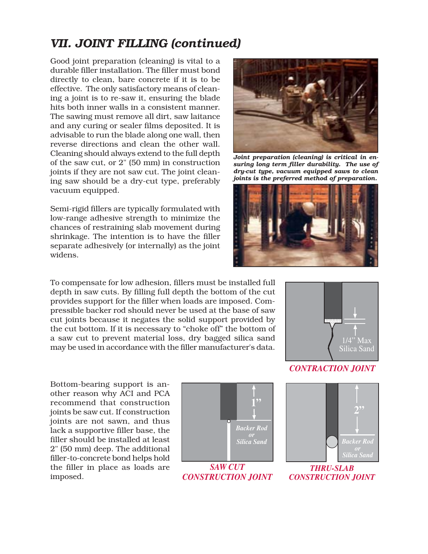Good joint preparation (cleaning) is vital to a durable filler installation. The filler must bond directly to clean, bare concrete if it is to be effective. The only satisfactory means of cleaning a joint is to re-saw it, ensuring the blade hits both inner walls in a consistent manner. The sawing must remove all dirt, saw laitance and any curing or sealer films deposited. It is advisable to run the blade along one wall, then reverse directions and clean the other wall. Cleaning should always extend to the full depth of the saw cut, or 2" (50 mm) in construction joints if they are not saw cut. The joint cleaning saw should be a dry-cut type, preferably vacuum equipped.

Semi-rigid fillers are typically formulated with low-range adhesive strength to minimize the chances of restraining slab movement during shrinkage. The intention is to have the filler separate adhesively (or internally) as the joint widens.

To compensate for low adhesion, fillers must be installed full depth in saw cuts. By filling full depth the bottom of the cut provides support for the filler when loads are imposed. Compressible backer rod should never be used at the base of saw cut joints because it negates the solid support provided by the cut bottom. If it is necessary to "choke off" the bottom of a saw cut to prevent material loss, dry bagged silica sand may be used in accordance with the filler manufacturer's data.



*Joint preparation (cleaning) is critical in ensuring long term filler durability. The use of dry-cut type, vacuum equipped saws to clean joints is the preferred method of preparation.*





#### *CONTRACTION JOINT*

Bottom-bearing support is another reason why ACI and PCA recommend that construction joints be saw cut. If construction joints are not sawn, and thus lack a supportive filler base, the filler should be installed at least 2" (50 mm) deep. The additional filler-to-concrete bond helps hold the filler in place as loads are imposed.





*CONSTRUCTION JOINT*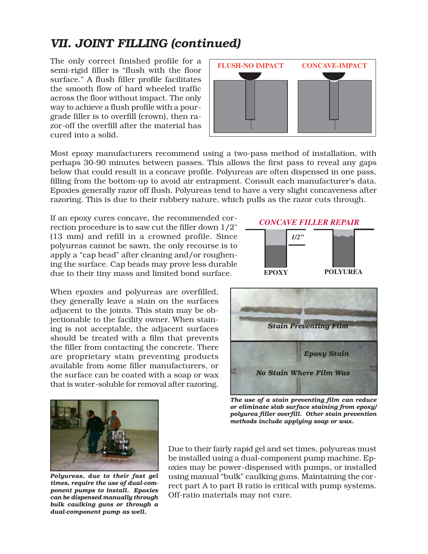The only correct finished profile for a semi-rigid filler is "flush with the floor surface." A flush filler profile facilitates the smooth flow of hard wheeled traffic across the floor without impact. The only way to achieve a flush profile with a pourgrade filler is to overfill (crown), then razor-off the overfill after the material has cured into a solid.



Most epoxy manufacturers recommend using a two-pass method of installation, with perhaps 30-90 minutes between passes. This allows the first pass to reveal any gaps below that could result in a concave profile. Polyureas are often dispensed in one pass, filling from the bottom-up to avoid air entrapment. Consult each manufacturer's data. Epoxies generally razor off flush. Polyureas tend to have a very slight concaveness after razoring. This is due to their rubbery nature, which pulls as the razor cuts through.

If an epoxy cures concave, the recommended correction procedure is to saw cut the filler down 1/2" (13 mm) and refill in a crowned profile. Since polyureas cannot be sawn, the only recourse is to apply a "cap bead" after cleaning and/or roughening the surface. Cap beads may prove less durable due to their tiny mass and limited bond surface.

When epoxies and polyureas are overfilled, they generally leave a stain on the surfaces adjacent to the joints. This stain may be objectionable to the facility owner. When staining is not acceptable, the adjacent surfaces should be treated with a film that prevents the filler from contacting the concrete. There are proprietary stain preventing products available from some filler manufacturers, or the surface can be coated with a soap or wax that is water-soluble for removal after razoring.





*The use of a stain preventing film can reduce or eliminate slab surface staining from epoxy/ polyurea filler overfill. Other stain prevention methods include applying soap or wax.*



*Polyureas, due to their fast gel times, require the use of dual-component pumps to install. Epoxies can be dispensed manually through bulk caulking guns or through a dual-component pump as well.*

Due to their fairly rapid gel and set times, polyureas must be installed using a dual-component pump machine. Epoxies may be power-dispensed with pumps, or installed using manual "bulk" caulking guns. Maintaining the correct part A to part B ratio is critical with pump systems. Off-ratio materials may not cure.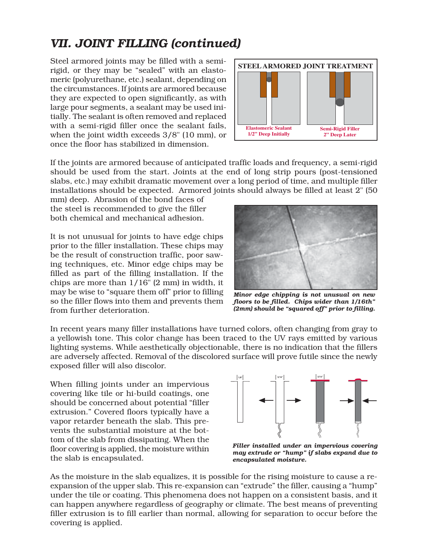Steel armored joints may be filled with a semirigid, or they may be "sealed" with an elastomeric (polyurethane, etc.) sealant, depending on the circumstances. If joints are armored because they are expected to open significantly, as with large pour segments, a sealant may be used initially. The sealant is often removed and replaced with a semi-rigid filler once the sealant fails, when the joint width exceeds 3/8" (10 mm), or once the floor has stabilized in dimension.



If the joints are armored because of anticipated traffic loads and frequency, a semi-rigid should be used from the start. Joints at the end of long strip pours (post-tensioned slabs, etc.) may exhibit dramatic movement over a long period of time, and multiple filler installations should be expected. Armored joints should always be filled at least 2" (50

mm) deep. Abrasion of the bond faces of the steel is recommended to give the filler both chemical and mechanical adhesion.

It is not unusual for joints to have edge chips prior to the filler installation. These chips may be the result of construction traffic, poor sawing techniques, etc. Minor edge chips may be filled as part of the filling installation. If the chips are more than 1/16" (2 mm) in width, it may be wise to "square them off" prior to filling so the filler flows into them and prevents them from further deterioration.



*Minor edge chipping is not unusual on new floors to be filled. Chips wider than 1/16th" (2mm) should be "squared off" prior to filling.*

In recent years many filler installations have turned colors, often changing from gray to a yellowish tone. This color change has been traced to the UV rays emitted by various lighting systems. While aesthetically objectionable, there is no indication that the fillers are adversely affected. Removal of the discolored surface will prove futile since the newly exposed filler will also discolor.

When filling joints under an impervious covering like tile or hi-build coatings, one should be concerned about potential "filler extrusion." Covered floors typically have a vapor retarder beneath the slab. This prevents the substantial moisture at the bottom of the slab from dissipating. When the floor covering is applied, the moisture within the slab is encapsulated.



*Filler installed under an impervious covering may extrude or "hump" if slabs expand due to encapsulated moisture.*

As the moisture in the slab equalizes, it is possible for the rising moisture to cause a reexpansion of the upper slab. This re-expansion can "extrude" the filler, causing a "hump" under the tile or coating. This phenomena does not happen on a consistent basis, and it can happen anywhere regardless of geography or climate. The best means of preventing filler extrusion is to fill earlier than normal, allowing for separation to occur before the covering is applied.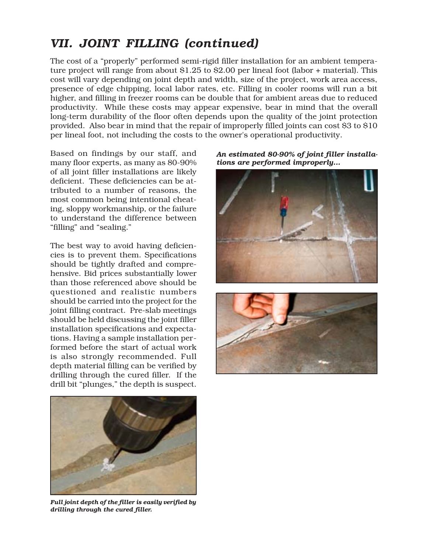The cost of a "properly" performed semi-rigid filler installation for an ambient temperature project will range from about \$1.25 to \$2.00 per lineal foot (labor + material). This cost will vary depending on joint depth and width, size of the project, work area access, presence of edge chipping, local labor rates, etc. Filling in cooler rooms will run a bit higher, and filling in freezer rooms can be double that for ambient areas due to reduced productivity. While these costs may appear expensive, bear in mind that the overall long-term durability of the floor often depends upon the quality of the joint protection provided. Also bear in mind that the repair of improperly filled joints can cost \$3 to \$10 per lineal foot, not including the costs to the owner's operational productivity.

Based on findings by our staff, and many floor experts, as many as 80-90% of all joint filler installations are likely deficient. These deficiencies can be attributed to a number of reasons, the most common being intentional cheating, sloppy workmanship, or the failure to understand the difference between "filling" and "sealing."

The best way to avoid having deficiencies is to prevent them. Specifications should be tightly drafted and comprehensive. Bid prices substantially lower than those referenced above should be questioned and realistic numbers should be carried into the project for the joint filling contract. Pre-slab meetings should be held discussing the joint filler installation specifications and expectations. Having a sample installation performed before the start of actual work is also strongly recommended. Full depth material filling can be verified by drilling through the cured filler. If the drill bit "plunges," the depth is suspect.



*Full joint depth of the filler is easily verified by drilling through the cured filler.*

*An estimated 80-90% of joint filler installations are performed improperly...*



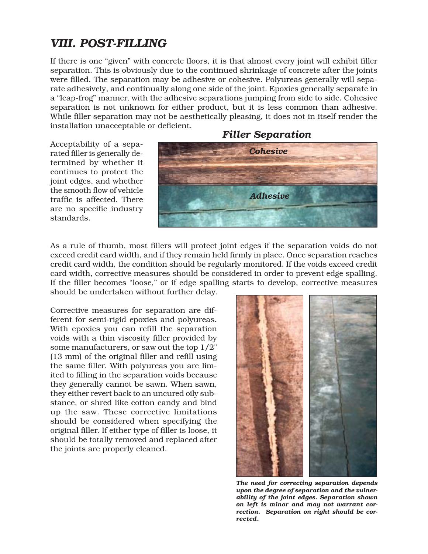### *VIII. POST-FILLING*

If there is one "given" with concrete floors, it is that almost every joint will exhibit filler separation. This is obviously due to the continued shrinkage of concrete after the joints were filled. The separation may be adhesive or cohesive. Polyureas generally will separate adhesively, and continually along one side of the joint. Epoxies generally separate in a "leap-frog" manner, with the adhesive separations jumping from side to side. Cohesive separation is not unknown for either product, but it is less common than adhesive. While filler separation may not be aesthetically pleasing, it does not in itself render the installation unacceptable or deficient.

Acceptability of a separated filler is generally determined by whether it continues to protect the joint edges, and whether the smooth flow of vehicle traffic is affected. There are no specific industry standards.

#### *Filler Separation*



As a rule of thumb, most fillers will protect joint edges if the separation voids do not exceed credit card width, and if they remain held firmly in place. Once separation reaches credit card width, the condition should be regularly monitored. If the voids exceed credit card width, corrective measures should be considered in order to prevent edge spalling. If the filler becomes "loose," or if edge spalling starts to develop, corrective measures should be undertaken without further delay.

Corrective measures for separation are different for semi-rigid epoxies and polyureas. With epoxies you can refill the separation voids with a thin viscosity filler provided by some manufacturers, or saw out the top 1/2" (13 mm) of the original filler and refill using the same filler. With polyureas you are limited to filling in the separation voids because they generally cannot be sawn. When sawn, they either revert back to an uncured oily substance, or shred like cotton candy and bind up the saw. These corrective limitations should be considered when specifying the original filler. If either type of filler is loose, it should be totally removed and replaced after the joints are properly cleaned.



*The need for correcting separation depends upon the degree of separation and the vulnerability of the joint edges. Separation shown on left is minor and may not warrant correction. Separation on right should be corrected.*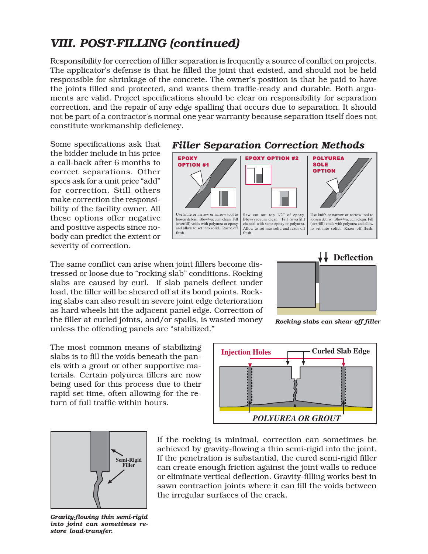# *VIII. POST-FILLING (continued)*

Responsibility for correction of filler separation is frequently a source of conflict on projects. The applicator's defense is that he filled the joint that existed, and should not be held responsible for shrinkage of the concrete. The owner's position is that he paid to have the joints filled and protected, and wants them traffic-ready and durable. Both arguments are valid. Project specifications should be clear on responsibility for separation correction, and the repair of any edge spalling that occurs due to separation. It should not be part of a contractor's normal one year warranty because separation itself does not constitute workmanship deficiency.

Some specifications ask that the bidder include in his price a call-back after 6 months to correct separations. Other specs ask for a unit price "add" for correction. Still others make correction the responsibility of the facility owner. All these options offer negative and positive aspects since nobody can predict the extent or severity of correction.

The same conflict can arise when joint fillers become distressed or loose due to "rocking slab" conditions. Rocking slabs are caused by curl. If slab panels deflect under load, the filler will be sheared off at its bond points. Rocking slabs can also result in severe joint edge deterioration as hard wheels hit the adjacent panel edge. Correction of the filler at curled joints, and/or spalls, is wasted money unless the offending panels are "stabilized."

The most common means of stabilizing slabs is to fill the voids beneath the panels with a grout or other supportive materials. Certain polyurea fillers are now being used for this process due to their rapid set time, often allowing for the return of full traffic within hours.



*Gravity-flowing thin semi-rigid into joint can sometimes restore load-transfer.*





*Rocking slabs can shear off filler*



If the rocking is minimal, correction can sometimes be achieved by gravity-flowing a thin semi-rigid into the joint. If the penetration is substantial, the cured semi-rigid filler can create enough friction against the joint walls to reduce or eliminate vertical deflection. Gravity-filling works best in sawn contraction joints where it can fill the voids between the irregular surfaces of the crack.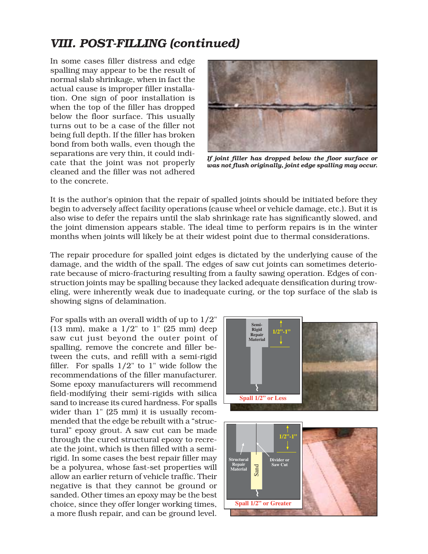# *VIII. POST-FILLING (continued)*

In some cases filler distress and edge spalling may appear to be the result of normal slab shrinkage, when in fact the actual cause is improper filler installation. One sign of poor installation is when the top of the filler has dropped below the floor surface. This usually turns out to be a case of the filler not being full depth. If the filler has broken bond from both walls, even though the separations are very thin, it could indicate that the joint was not properly cleaned and the filler was not adhered to the concrete.



*If joint filler has dropped below the floor surface or was not flush originally, joint edge spalling may occur.*

It is the author's opinion that the repair of spalled joints should be initiated before they begin to adversely affect facility operations (cause wheel or vehicle damage, etc.). But it is also wise to defer the repairs until the slab shrinkage rate has significantly slowed, and the joint dimension appears stable. The ideal time to perform repairs is in the winter months when joints will likely be at their widest point due to thermal considerations.

The repair procedure for spalled joint edges is dictated by the underlying cause of the damage, and the width of the spall. The edges of saw cut joints can sometimes deteriorate because of micro-fracturing resulting from a faulty sawing operation. Edges of construction joints may be spalling because they lacked adequate densification during troweling, were inherently weak due to inadequate curing, or the top surface of the slab is showing signs of delamination.

For spalls with an overall width of up to 1/2" (13 mm), make a  $1/2$ " to 1" (25 mm) deep saw cut just beyond the outer point of spalling, remove the concrete and filler between the cuts, and refill with a semi-rigid filler. For spalls 1/2" to 1" wide follow the recommendations of the filler manufacturer. Some epoxy manufacturers will recommend field-modifying their semi-rigids with silica sand to increase its cured hardness. For spalls wider than 1" (25 mm) it is usually recommended that the edge be rebuilt with a "structural" epoxy grout. A saw cut can be made through the cured structural epoxy to recreate the joint, which is then filled with a semirigid. In some cases the best repair filler may be a polyurea, whose fast-set properties will allow an earlier return of vehicle traffic. Their negative is that they cannot be ground or sanded. Other times an epoxy may be the best choice, since they offer longer working times, a more flush repair, and can be ground level.

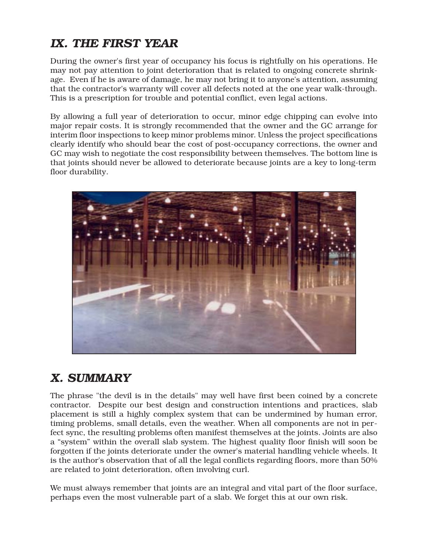# *IX. THE FIRST YEAR*

During the owner's first year of occupancy his focus is rightfully on his operations. He may not pay attention to joint deterioration that is related to ongoing concrete shrinkage. Even if he is aware of damage, he may not bring it to anyone's attention, assuming that the contractor's warranty will cover all defects noted at the one year walk-through. This is a prescription for trouble and potential conflict, even legal actions.

By allowing a full year of deterioration to occur, minor edge chipping can evolve into major repair costs. It is strongly recommended that the owner and the GC arrange for interim floor inspections to keep minor problems minor. Unless the project specifications clearly identify who should bear the cost of post-occupancy corrections, the owner and GC may wish to negotiate the cost responsibility between themselves. The bottom line is that joints should never be allowed to deteriorate because joints are a key to long-term floor durability.



# *X. SUMMARY*

The phrase "the devil is in the details" may well have first been coined by a concrete contractor. Despite our best design and construction intentions and practices, slab placement is still a highly complex system that can be undermined by human error, timing problems, small details, even the weather. When all components are not in perfect sync, the resulting problems often manifest themselves at the joints. Joints are also a "system" within the overall slab system. The highest quality floor finish will soon be forgotten if the joints deteriorate under the owner's material handling vehicle wheels. It is the author's observation that of all the legal conflicts regarding floors, more than 50% are related to joint deterioration, often involving curl.

We must always remember that joints are an integral and vital part of the floor surface, perhaps even the most vulnerable part of a slab. We forget this at our own risk.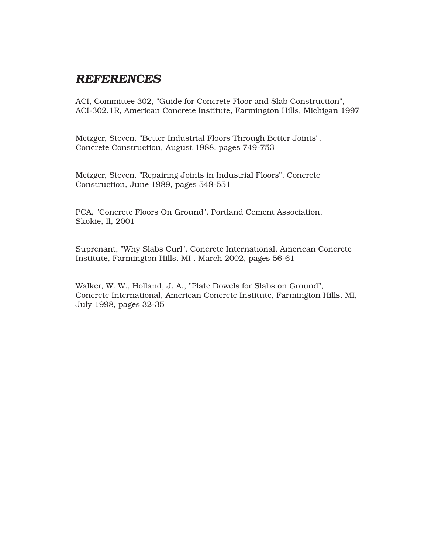#### *REFERENCES*

ACI, Committee 302, "Guide for Concrete Floor and Slab Construction", ACI-302.1R, American Concrete Institute, Farmington Hills, Michigan 1997

Metzger, Steven, "Better Industrial Floors Through Better Joints", Concrete Construction, August 1988, pages 749-753

Metzger, Steven, "Repairing Joints in Industrial Floors", Concrete Construction, June 1989, pages 548-551

PCA, "Concrete Floors On Ground", Portland Cement Association, Skokie, Il, 2001

Suprenant, "Why Slabs Curl", Concrete International, American Concrete Institute, Farmington Hills, MI , March 2002, pages 56-61

Walker, W. W., Holland, J. A., "Plate Dowels for Slabs on Ground", Concrete International, American Concrete Institute, Farmington Hills, MI, July 1998, pages 32-35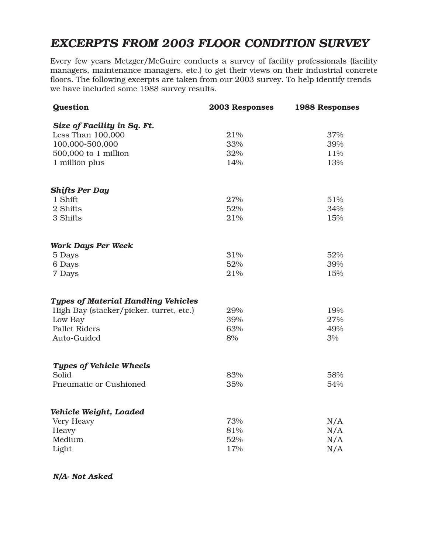### *EXCERPTS FROM 2003 FLOOR CONDITION SURVEY*

Every few years Metzger/McGuire conducts a survey of facility professionals (facility managers, maintenance managers, etc.) to get their views on their industrial concrete floors. The following excerpts are taken from our 2003 survey. To help identify trends we have included some 1988 survey results.

| <b>Question</b>                            | 2003 Responses | <b>1988 Responses</b> |
|--------------------------------------------|----------------|-----------------------|
| Size of Facility in Sq. Ft.                |                |                       |
| Less Than 100,000                          | 21%            | 37%                   |
| 100,000-500,000                            | 33%            | 39%                   |
| $500,000$ to $1$ million                   | 32%            | 11%                   |
| 1 million plus                             | 14%            | 13%                   |
| <b>Shifts Per Day</b>                      |                |                       |
| 1 Shift                                    | 27%            | 51%                   |
| 2 Shifts                                   | 52%            | 34%                   |
| 3 Shifts                                   | 21%            | 15%                   |
| <b>Work Days Per Week</b>                  |                |                       |
| 5 Days                                     | 31%            | 52%                   |
| 6 Days                                     | 52%            | 39%                   |
| 7 Days                                     | 21%            | 15%                   |
| <b>Types of Material Handling Vehicles</b> |                |                       |
| High Bay (stacker/picker. turret, etc.)    | 29%            | 19%                   |
| Low Bay                                    | 39%            | 27%                   |
| <b>Pallet Riders</b>                       | 63%            | 49%                   |
| Auto-Guided                                | 8%             | 3%                    |
| <b>Types of Vehicle Wheels</b>             |                |                       |
| Solid                                      | 83%            | 58%                   |
| Pneumatic or Cushioned                     | 35%            | 54%                   |
| Vehicle Weight, Loaded                     |                |                       |
| Very Heavy                                 | 73%            | N/A                   |
| Heavy                                      | 81%            | N/A                   |
| Medium                                     | 52%            | N/A                   |
| Light                                      | 17%            | N/A                   |
|                                            |                |                       |

 *N/A- Not Asked*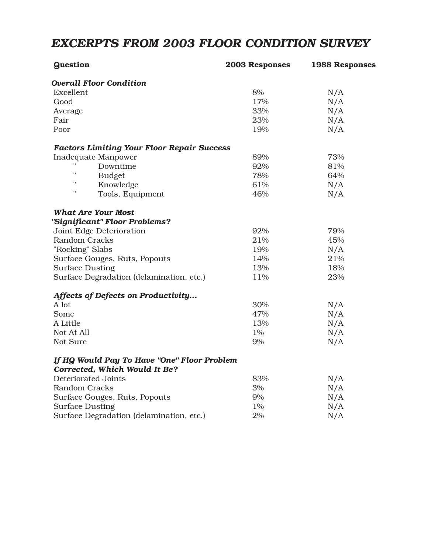### *EXCERPTS FROM 2003 FLOOR CONDITION SURVEY*

| <b>Guestion</b>                                                              | 2003 Responses | <b>1988 Responses</b> |
|------------------------------------------------------------------------------|----------------|-----------------------|
| <b>Overall Floor Condition</b>                                               |                |                       |
| Excellent                                                                    | 8%             | N/A                   |
| Good                                                                         | $17\%$         | N/A                   |
| Average                                                                      | 33%            | N/A                   |
| Fair                                                                         | 23%            | N/A                   |
| Poor                                                                         | 19%            | N/A                   |
| <b>Factors Limiting Your Floor Repair Success</b>                            |                |                       |
| <b>Inadequate Manpower</b>                                                   | 89%            | 73%                   |
| Downtime                                                                     | 92%            | 81%                   |
| $\pmb{\shortparallel}$<br><b>Budget</b>                                      | 78%            | 64%                   |
| $\pmb{\mathsf{H}}$<br>Knowledge                                              | 61%            | N/A                   |
| $\pmb{\mathsf{H}}$<br>Tools, Equipment                                       | 46%            | N/A                   |
| <b>What Are Your Most</b>                                                    |                |                       |
| "Significant" Floor Problems?                                                |                |                       |
| Joint Edge Deterioration                                                     | 92%            | 79%                   |
| <b>Random Cracks</b>                                                         | 21%            | 45%                   |
| "Rocking" Slabs                                                              | 19%            | N/A                   |
| Surface Gouges, Ruts, Popouts                                                | 14%            | 21%                   |
| <b>Surface Dusting</b>                                                       | 13%            | 18%                   |
| Surface Degradation (delamination, etc.)                                     | 11%            | 23%                   |
| Affects of Defects on Productivity                                           |                |                       |
| A lot                                                                        | 30%            | N/A                   |
| Some                                                                         | 47%            | N/A                   |
| A Little                                                                     | 13%            | N/A                   |
| Not At All                                                                   | 1%             | N/A                   |
| Not Sure                                                                     | 9%             | N/A                   |
| If HQ Would Pay To Have "One" Floor Problem<br>Corrected, Which Would It Be? |                |                       |
| <b>Deteriorated Joints</b>                                                   | 83%            | N/A                   |
| <b>Random Cracks</b>                                                         | 3%             | N/A                   |
| Surface Gouges, Ruts, Popouts                                                | $9\%$          | N/A                   |
| <b>Surface Dusting</b>                                                       | 1%             | N/A                   |
| Surface Degradation (delamination, etc.)                                     | 2%             | N/A                   |